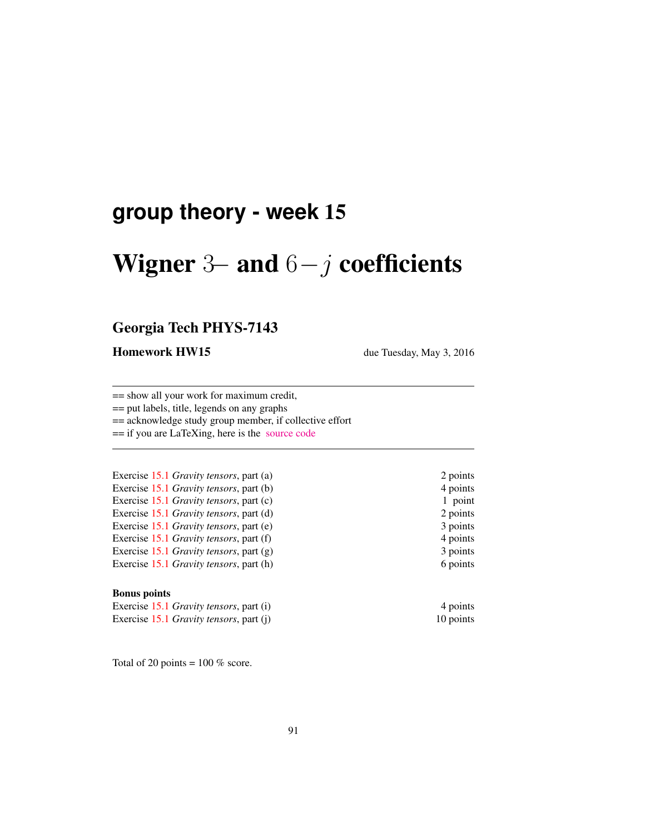## **group theory - week** 15

# Wigner 3– and  $6-j$  coefficients

## Georgia Tech PHYS-7143

#### **Homework HW15** due Tuesday, May 3, 2016

== show all your work for maximum credit,

== put labels, title, legends on any graphs

== acknowledge study group member, if collective effort

== if you are LaTeXing, here is the [source code](http://birdtracks.eu/courses/PHYS-7143-16/exerWeek15.zip)

Exercise 15.1 *Gravity tensors*, part (a) 2 points Exercise 15.1 *Gravity tensors*, part (b) 4 points Exercise 15.1 *Gravity tensors*, part (c) 1 point Exercise 15.1 *Gravity tensors*, part (d) 2 points Exercise 15.1 *Gravity tensors*, part (e) 3 points Exercise 15.1 *Gravity tensors*, part (f) 4 points Exercise 15.1 *Gravity tensors*, part (g) 3 points Exercise 15.1 *Gravity tensors*, part (h) 6 points

#### Bonus points

Exercise 15.1 *Gravity tensors*, part (i) 4 points Exercise 15.1 *Gravity tensors*, part (j) 10 points

Total of 20 points =  $100\%$  score.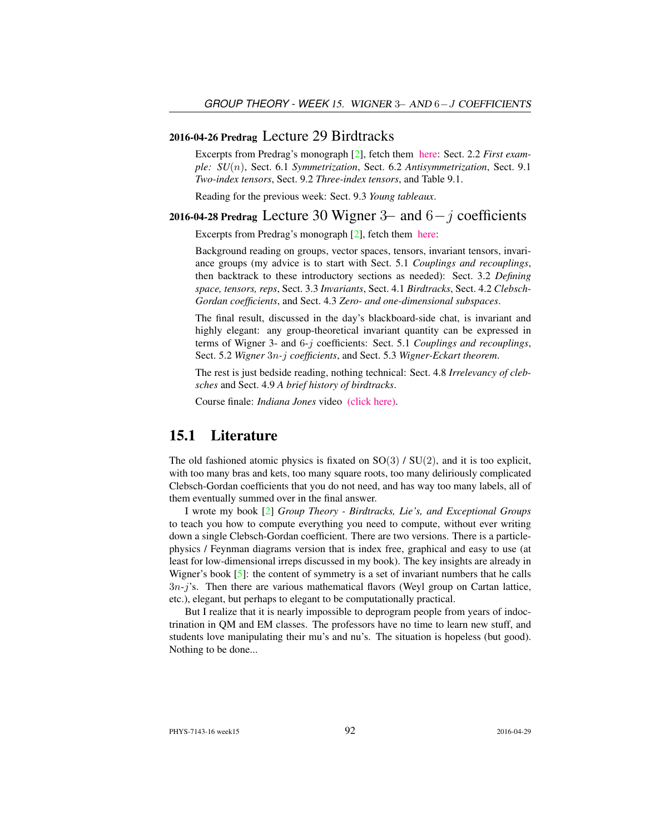#### 2016-04-26 Predrag Lecture 29 Birdtracks

Excerpts from Predrag's monograph [2], fetch them [here:](http://birdtracks.eu/courses/PHYS-7143-16/week15lect29.pdf) Sect. 2.2 *First example: SU*(n), Sect. 6.1 *Symmetrization*, Sect. 6.2 *Antisymmetrization*, Sect. 9.1 *Two-index tensors*, Sect. 9.2 *Three-index tensors*, and Table 9.1.

Reading for the previous week: Sect. 9.3 *Young tableaux*.

### 2016-04-28 Predrag Lecture 30 Wigner 3– and  $6-j$  coefficients

Excerpts from Predrag's monograph [2], fetch them [here:](http://birdtracks.eu/courses/PHYS-7143-16/week15lect30.pdf)

Background reading on groups, vector spaces, tensors, invariant tensors, invariance groups (my advice is to start with Sect. 5.1 *Couplings and recouplings*, then backtrack to these introductory sections as needed): Sect. 3.2 *Defining space, tensors, reps*, Sect. 3.3 *Invariants*, Sect. 4.1 *Birdtracks*, Sect. 4.2 *Clebsch-Gordan coefficients*, and Sect. 4.3 *Zero- and one-dimensional subspaces*.

The final result, discussed in the day's blackboard-side chat, is invariant and highly elegant: any group-theoretical invariant quantity can be expressed in terms of Wigner 3- and 6-j coefficients: Sect. 5.1 *Couplings and recouplings*, Sect. 5.2 *Wigner* 3n*-*j *coefficients*, and Sect. 5.3 *Wigner-Eckart theorem*.

The rest is just bedside reading, nothing technical: Sect. 4.8 *Irrelevancy of clebsches* and Sect. 4.9 *A brief history of birdtracks*.

Course finale: *Indiana Jones* video [\(click here\).](https://www.youtube.com/embed/CvuoY_yPZeM)

#### 15.1 Literature

The old fashioned atomic physics is fixated on  $SO(3) / SU(2)$ , and it is too explicit, with too many bras and kets, too many square roots, too many deliriously complicated Clebsch-Gordan coefficients that you do not need, and has way too many labels, all of them eventually summed over in the final answer.

I wrote my book [2] *Group Theory - Birdtracks, Lie's, and Exceptional Groups* to teach you how to compute everything you need to compute, without ever writing down a single Clebsch-Gordan coefficient. There are two versions. There is a particlephysics / Feynman diagrams version that is index free, graphical and easy to use (at least for low-dimensional irreps discussed in my book). The key insights are already in Wigner's book  $[5]$ : the content of symmetry is a set of invariant numbers that he calls  $3n-j$ 's. Then there are various mathematical flavors (Weyl group on Cartan lattice, etc.), elegant, but perhaps to elegant to be computationally practical.

But I realize that it is nearly impossible to deprogram people from years of indoctrination in QM and EM classes. The professors have no time to learn new stuff, and students love manipulating their mu's and nu's. The situation is hopeless (but good). Nothing to be done...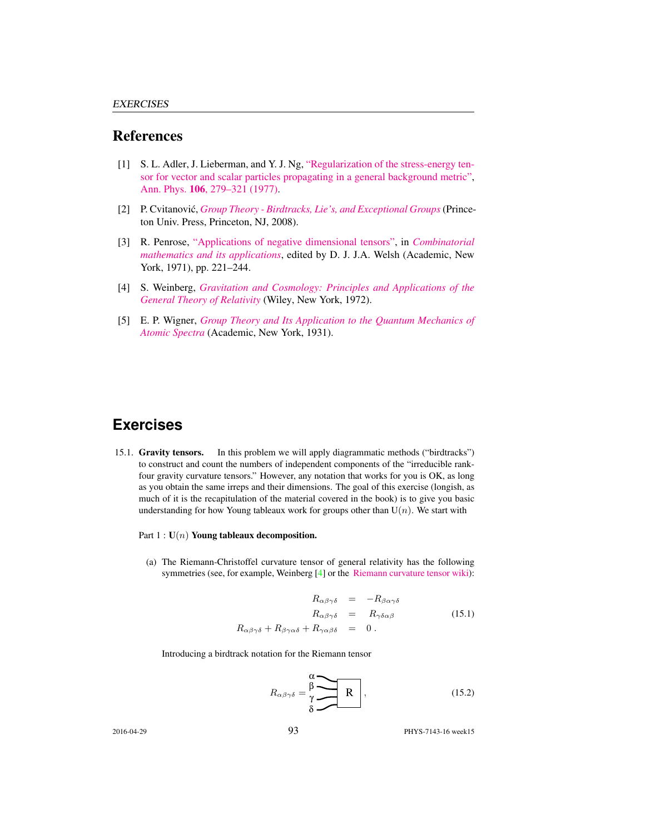#### References

- [1] S. L. Adler, J. Lieberman, and Y. J. Ng, ["Regularization of the stress-energy ten](http://dx.doi.org/10.1016/0003-4916(77)90313-X)[sor for vector and scalar particles propagating in a general background metric",](http://dx.doi.org/10.1016/0003-4916(77)90313-X) Ann. Phys. 106[, 279–321 \(1977\).](http://dx.doi.org/10.1016/0003-4916(77)90313-X)
- [2] P. Cvitanović, *[Group Theory Birdtracks, Lie's, and Exceptional Groups](http://birdtracks.eu)* (Princeton Univ. Press, Princeton, NJ, 2008).
- [3] R. Penrose, ["Applications of negative dimensional tensors",](http://homepages.math.uic.edu/~kauffman/Penrose.pdf) in *[Combinatorial](http://homepages.math.uic.edu/~kauffman/Penrose.pdf) [mathematics and its applications](http://homepages.math.uic.edu/~kauffman/Penrose.pdf)*, edited by D. J. J.A. Welsh (Academic, New York, 1971), pp. 221–244.
- [4] S. Weinberg, *[Gravitation and Cosmology: Principles and Applications of the](http://books.google.com/books?vid=ISBN9780471925675) [General Theory of Relativity](http://books.google.com/books?vid=ISBN9780471925675)* (Wiley, New York, 1972).
- [5] E. P. Wigner, *[Group Theory and Its Application to the Quantum Mechanics of](http://books.google.com/books?vid=ISBN9780323152785) [Atomic Spectra](http://books.google.com/books?vid=ISBN9780323152785)* (Academic, New York, 1931).

## **Exercises**

- 15.1. Gravity tensors. In this problem we will apply diagrammatic methods ("birdtracks") to construct and count the numbers of independent components of the "irreducible rankfour gravity curvature tensors." However, any notation that works for you is OK, as long as you obtain the same irreps and their dimensions. The goal of this exercise (longish, as much of it is the recapitulation of the material covered in the book) is to give you basic understanding for how Young tableaux work for groups other than  $U(n)$ . We start with
	- Part  $1: U(n)$  Young tableaux decomposition.
		- (a) The Riemann-Christoffel curvature tensor of general relativity has the following symmetries (see, for example, Weinberg [4] or the [Riemann curvature tensor wiki\)](https://en.wikipedia.org/wiki/Riemann_curvature_tensor):

$$
R_{\alpha\beta\gamma\delta} = -R_{\beta\alpha\gamma\delta}
$$
  
\n
$$
R_{\alpha\beta\gamma\delta} = R_{\gamma\delta\alpha\beta}
$$
  
\n
$$
R_{\alpha\beta\gamma\delta} + R_{\beta\gamma\alpha\delta} + R_{\gamma\alpha\beta\delta} = 0.
$$
  
\n(15.1)

Introducing a birdtrack notation for the Riemann tensor

$$
R_{\alpha\beta\gamma\delta} = \frac{\beta}{\gamma} \begin{array}{|c|c|} \hline \mathbf{R} \\ \hline \mathbf{S} \end{array}, \tag{15.2}
$$

2016-04-29 93 PHYS-7143-16 week15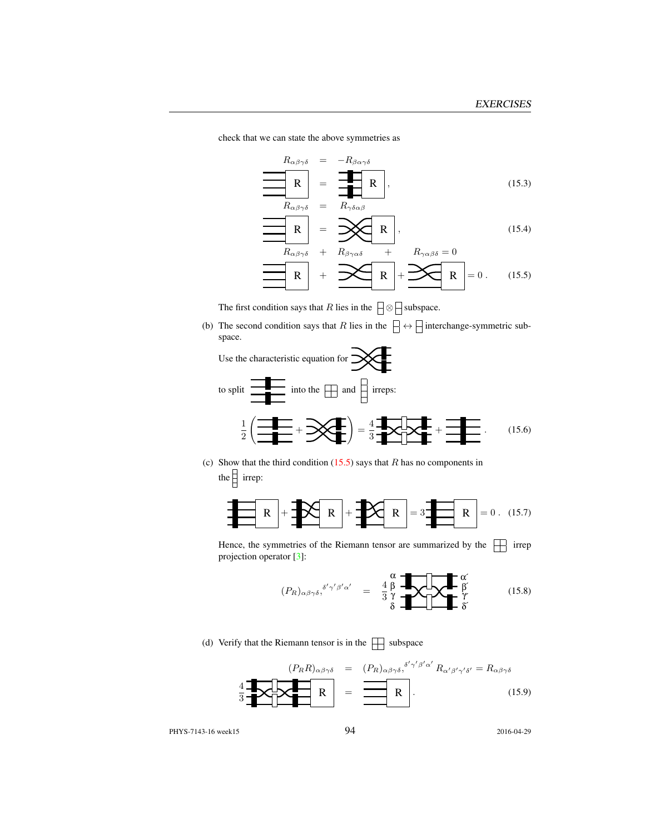check that we can state the above symmetries as

$$
R_{\alpha\beta\gamma\delta} = -R_{\beta\alpha\gamma\delta}
$$
\n
$$
R_{\alpha\beta\gamma\delta} = \frac{1}{R_{\gamma\delta\alpha\beta}} R,
$$
\n
$$
R_{\alpha\beta\gamma\delta} = R_{\gamma\delta\alpha\beta}
$$
\n
$$
R = \mathbf{X} R,
$$
\n(15.3)\n(15.4)

$$
\boxed{\mathbb{R}} = \mathbb{R} \tag{15.4}
$$

$$
R_{\alpha\beta\gamma\delta} + R_{\beta\gamma\alpha\delta} + R_{\gamma\alpha\beta\delta} = 0
$$
  
R  
R  

$$
R
$$
  
R  

$$
R = 0.
$$
 (15.5)

The first condition says that R lies in the  $\Box \otimes \Box$  subspace.

(b) The second condition says that R lies in the  $\Box \leftrightarrow \Box$  interchange-symmetric subspace.



(c) Show that the third condition  $(15.5)$  says that R has no components in the  $\frac{1}{2}$  irrep:



Hence, the symmetries of the Riemann tensor are summarized by the  $\Box$  irrep projection operator [3]:

$$
(P_R)_{\alpha\beta\gamma\delta},^{\delta'\gamma'\beta'\alpha'} = \frac{4}{3}\begin{array}{c} \alpha \\ \beta \\ \gamma \\ \delta \end{array} \begin{array}{c} \text{and} \\ \text{for} \\ \text{for} \\ \delta \end{array} \tag{15.8}
$$

(d) Verify that the Riemann tensor is in the  $\Box$  subspace

$$
\left\{\mathbf{R}_{R}\right\}_{\alpha\beta\gamma\delta} = (P_{R})_{\alpha\beta\gamma\delta}^{\delta'\gamma'\beta'\alpha'} R_{\alpha'\beta'\gamma'\delta'} = R_{\alpha\beta\gamma\delta}
$$
\n
$$
\frac{4}{3} \mathbf{R}_{\alpha\beta\gamma\delta} \mathbf{R}_{\alpha'\beta'\gamma'\delta'} = (15.9)
$$

PHYS-7143-16 week15 94 2016-04-29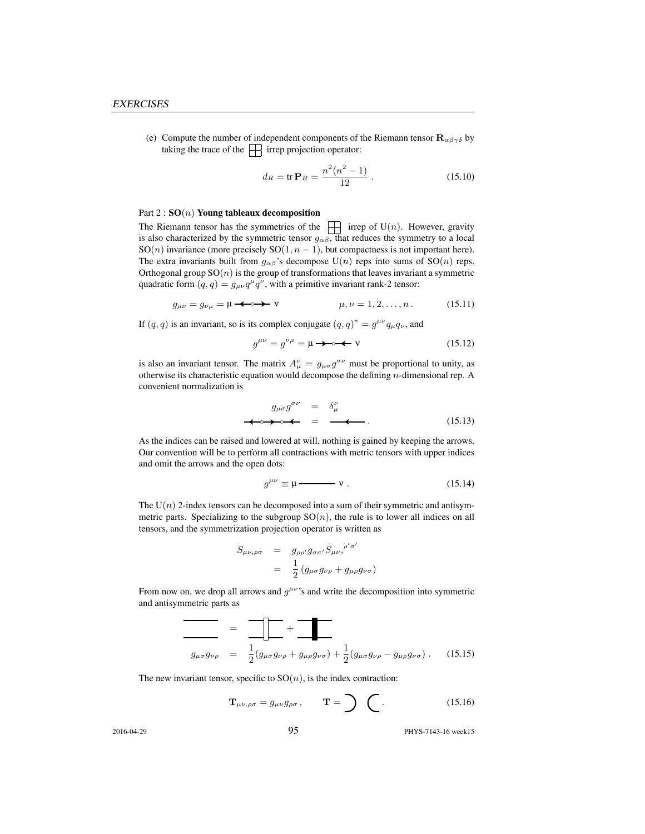(e) Compute the number of independent components of the Riemann tensor  $\mathbf{R}_{\alpha\beta\gamma\delta}$  by taking the trace of the  $\Box$  irrep projection operator:

$$
d_R = \text{tr}\,\mathbf{P}_R = \frac{n^2(n^2 - 1)}{12} \,. \tag{15.10}
$$

#### Part  $2: SO(n)$  Young tableaux decomposition

The Riemann tensor has the symmetries of the  $\Box$  irrep of U(n). However, gravity is also characterized by the symmetric tensor  $g_{\alpha\beta}$ , that reduces the symmetry to a local SO(n) invariance (more precisely SO(1,  $n - 1$ ), but compactness is not important here). The extra invariants built from  $g_{\alpha\beta}$ 's decompose U(n) reps into sums of SO(n) reps. Orthogonal group  $SO(n)$  is the group of transformations that leaves invariant a symmetric quadratic form  $(q, q) = g_{\mu\nu}q^{\mu}q^{\nu}$ , with a primitive invariant rank-2 tensor:

$$
g_{\mu\nu} = g_{\nu\mu} = \mu \longrightarrow \mathbf{v} \qquad \qquad \mu, \nu = 1, 2, \dots, n \,. \tag{15.11}
$$

If  $(q, q)$  is an invariant, so is its complex conjugate  $(q, q)^* = g^{\mu\nu} q_\mu q_\nu$ , and

g µν = g νµ = µ ν (15.12)

is also an invariant tensor. The matrix  $A^{\nu}_{\mu} = g_{\mu\sigma} g^{\sigma\nu}$  must be proportional to unity, as otherwise its characteristic equation would decompose the defining  $n$ -dimensional rep. A convenient normalization is

$$
g_{\mu\sigma}g^{\sigma\nu} = \delta^{\nu}_{\mu}
$$
  
\n
$$
\Leftrightarrow \Leftrightarrow \Leftrightarrow = \Leftrightarrow \Leftrightarrow \qquad (15.13)
$$

As the indices can be raised and lowered at will, nothing is gained by keeping the arrows. Our convention will be to perform all contractions with metric tensors with upper indices and omit the arrows and the open dots:

$$
g^{\mu\nu} \equiv \mu \longrightarrow \mathbf{v} \ . \tag{15.14}
$$

The  $U(n)$  2-index tensors can be decomposed into a sum of their symmetric and antisymmetric parts. Specializing to the subgroup  $SO(n)$ , the rule is to lower all indices on all tensors, and the symmetrization projection operator is written as

$$
S_{\mu\nu,\rho\sigma} = g_{\rho\rho'} g_{\sigma\sigma'} S_{\mu\nu,}^{\rho'\sigma'}
$$
  
= 
$$
\frac{1}{2} (g_{\mu\sigma} g_{\nu\rho} + g_{\mu\rho} g_{\nu\sigma})
$$

From now on, we drop all arrows and  $g^{\mu\nu}$ 's and write the decomposition into symmetric and antisymmetric parts as

$$
\frac{\partial}{\partial g_{\mu\sigma}g_{\nu\rho}} = \frac{\partial}{\partial g_{\mu\sigma}g_{\nu\rho} + g_{\mu\rho}g_{\nu\sigma}} + \frac{1}{2}(g_{\mu\sigma}g_{\nu\rho} - g_{\mu\rho}g_{\nu\sigma}). \quad (15.15)
$$

The new invariant tensor, specific to  $SO(n)$ , is the index contraction:

$$
\mathbf{T}_{\mu\nu,\rho\sigma} = g_{\mu\nu} g_{\rho\sigma}, \qquad \mathbf{T} = \sum \quad (15.16)
$$

2016-04-29 95 PHYS-7143-16 week15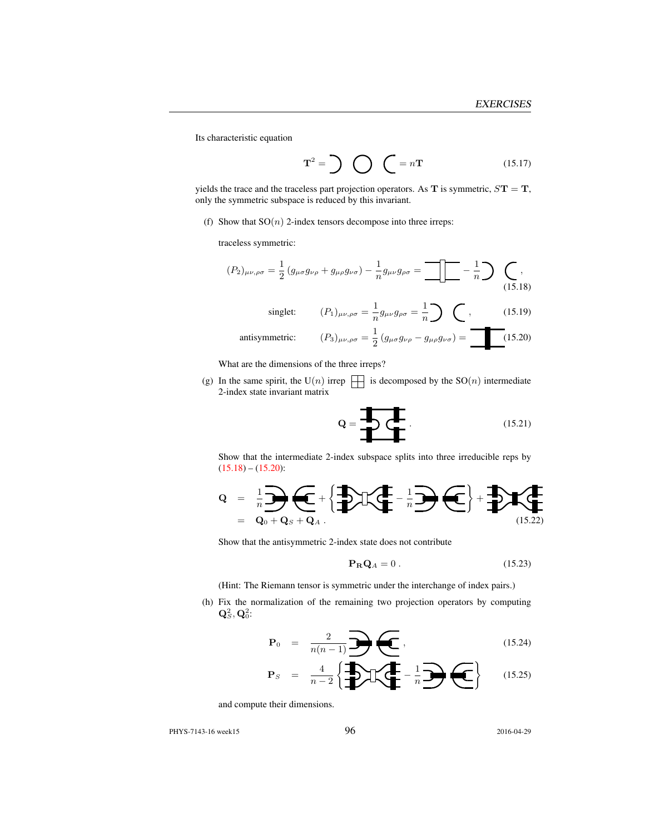Its characteristic equation

$$
\mathbf{T}^2 = \sum \bigodot \bigodot \mathbf{T} = n\mathbf{T} \tag{15.17}
$$

yields the trace and the traceless part projection operators. As  $T$  is symmetric,  $ST = T$ , only the symmetric subspace is reduced by this invariant.

(f) Show that  $SO(n)$  2-index tensors decompose into three irreps:

traceless symmetric:

$$
(P_2)_{\mu\nu,\rho\sigma} = \frac{1}{2} \left( g_{\mu\sigma} g_{\nu\rho} + g_{\mu\rho} g_{\nu\sigma} \right) - \frac{1}{n} g_{\mu\nu} g_{\rho\sigma} = \boxed{\mathbb{I}} - \frac{1}{n} \mathbb{I} \tag{15.18}
$$
\n
$$
\text{singlet:} \qquad (P_1)_{\mu\nu,\rho\sigma} = \frac{1}{n} g_{\mu\nu} g_{\rho\sigma} = \frac{1}{n} \mathbb{I} \tag{15.19}
$$

antisymmetric: 
$$
(P_3)_{\mu\nu,\rho\sigma} = \frac{1}{2} (g_{\mu\sigma} g_{\nu\rho} - g_{\mu\rho} g_{\nu\sigma}) = \boxed{(15.20)}
$$

What are the dimensions of the three irreps?

(g) In the same spirit, the U(n) irrep  $\Box$  is decomposed by the SO(n) intermediate 2-index state invariant matrix

$$
\mathbf{Q} = \begin{array}{c}\n\mathbf{I} \\
\mathbf{I} \\
\mathbf{I}\n\end{array}
$$
\n(15.21)

Show that the intermediate 2-index subspace splits into three irreducible reps by  $(15.18) - (15.20):$ 

$$
Q = \frac{1}{n} \sum_{Q_0 + Q_S + Q_A} \underbrace{\left\{ \bigoplus_{i=1}^{n} \left( \bigoplus_{i=1}^{n} \mathbb{I} \right) \left( \bigoplus_{i=1}^{n} \mathbb{I} \right) \left( \bigoplus_{i=1}^{n} \mathbb{I} \right) \right\}}_{(15.22)}
$$

Show that the antisymmetric 2-index state does not contribute

$$
\mathbf{P}_{\mathbf{R}}\mathbf{Q}_A = 0. \tag{15.23}
$$

(Hint: The Riemann tensor is symmetric under the interchange of index pairs.)

(h) Fix the normalization of the remaining two projection operators by computing  $\mathbf{Q}^2_S, \mathbf{Q}^2_0$ :

$$
\mathbf{P}_0 = \frac{2}{n(n-1)} \mathbf{P}(\mathbf{C}), \qquad (15.24)
$$

$$
\mathbf{P}_S = \frac{4}{n-2} \left\{ \frac{1}{n} \sum_{i=1}^{n} \left( \frac{1}{n} - \frac{1}{n} \right) \left( \frac{1}{n} \right) \right\} \qquad (15.25)
$$

and compute their dimensions.

PHYS-7143-16 week15 96 2016-04-29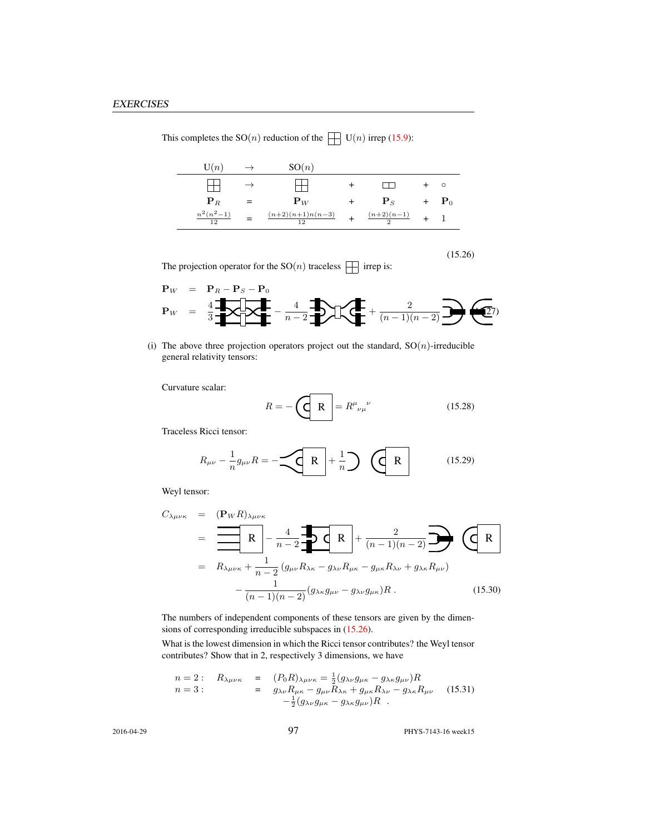| $\mathrm{U}(n)$                 | $\rightarrow$ | SO(n)                                           |                        |                    |
|---------------------------------|---------------|-------------------------------------------------|------------------------|--------------------|
|                                 |               |                                                 |                        | $\circ$            |
| ${\bf P}_R$                     |               | ${\bf P}_W$                                     | ${\bf P}_S$            | $+$ $\mathbf{P}_0$ |
| $n^2(n^2-1)$<br>$\overline{12}$ |               | $\frac{(n+2)(n+1)n(n-3)}{n}$<br>$\overline{12}$ | $\frac{(n+2)(n-1)}{2}$ |                    |

This completes the  $SO(n)$  reduction of the  $\Box$   $U(n)$  irrep (15.9):

(15.26)

The projection operator for the  $\mathrm{SO}(n)$  traceless  $\,\prod\,$  irrep is:

$$
\mathbf{P}_W = \mathbf{P}_R - \mathbf{P}_S - \mathbf{P}_0
$$
  

$$
\mathbf{P}_W = \frac{4}{3} \mathbf{P} \left[ \mathbf{P} \mathbf{P} \right] - \frac{4}{n-2} \mathbf{P} \left[ \mathbf{P} \right] + \frac{2}{(n-1)(n-2)} \mathbf{P} \left( \mathbf{P} \right)
$$

(i) The above three projection operators project out the standard,  $SO(n)$ -irreducible general relativity tensors:

Curvature scalar:

$$
R = -\left(\begin{array}{c|c}\n\hline\nR\n\end{array}\right) = R^{\mu}{}_{\nu\mu}{}^{\nu} \tag{15.28}
$$

Traceless Ricci tensor:

$$
R_{\mu\nu} - \frac{1}{n} g_{\mu\nu} R = -\underbrace{\left\langle \mathbf{R} \right|}_{\mathbf{R}} + \frac{1}{n} \underbrace{\left\langle \mathbf{R} \right|}_{\mathbf{R}} \qquad (15.29)
$$

Weyl tensor:

$$
C_{\lambda\mu\nu\kappa} = (\mathbf{P}_{W}R)_{\lambda\mu\nu\kappa}
$$
  
=  $\mathbf{R}_{\lambda\mu\nu\kappa} + \frac{1}{n-2} (\mathbf{g}_{\mu\nu}R_{\lambda\kappa} - \mathbf{g}_{\lambda\nu}R_{\mu\kappa} - \mathbf{g}_{\mu\kappa}R_{\lambda\nu} + \mathbf{g}_{\lambda\kappa}R_{\mu\nu})$   
=  $R_{\lambda\mu\nu\kappa} + \frac{1}{n-2} (\mathbf{g}_{\mu\nu}R_{\lambda\kappa} - \mathbf{g}_{\lambda\nu}R_{\mu\kappa} - \mathbf{g}_{\mu\kappa}R_{\lambda\nu} + \mathbf{g}_{\lambda\kappa}R_{\mu\nu})$   
-  $\frac{1}{(n-1)(n-2)} (\mathbf{g}_{\lambda\kappa}\mathbf{g}_{\mu\nu} - \mathbf{g}_{\lambda\nu}\mathbf{g}_{\mu\kappa})R$ . (15.30)

The numbers of independent components of these tensors are given by the dimensions of corresponding irreducible subspaces in (15.26).

What is the lowest dimension in which the Ricci tensor contributes? the Weyl tensor contributes? Show that in 2, respectively 3 dimensions, we have

n = 2 : Rλµνκ = (P0R)λµνκ = 1 2 (gλνgµκ − gλκgµν)R n = 3 : = gλνRµκ − gµνRλκ + gµκRλν − gλκRµν − 1 2 (gλνgµκ − gλκgµν)R . (15.31)

2016-04-29 97 PHYS-7143-16 week15